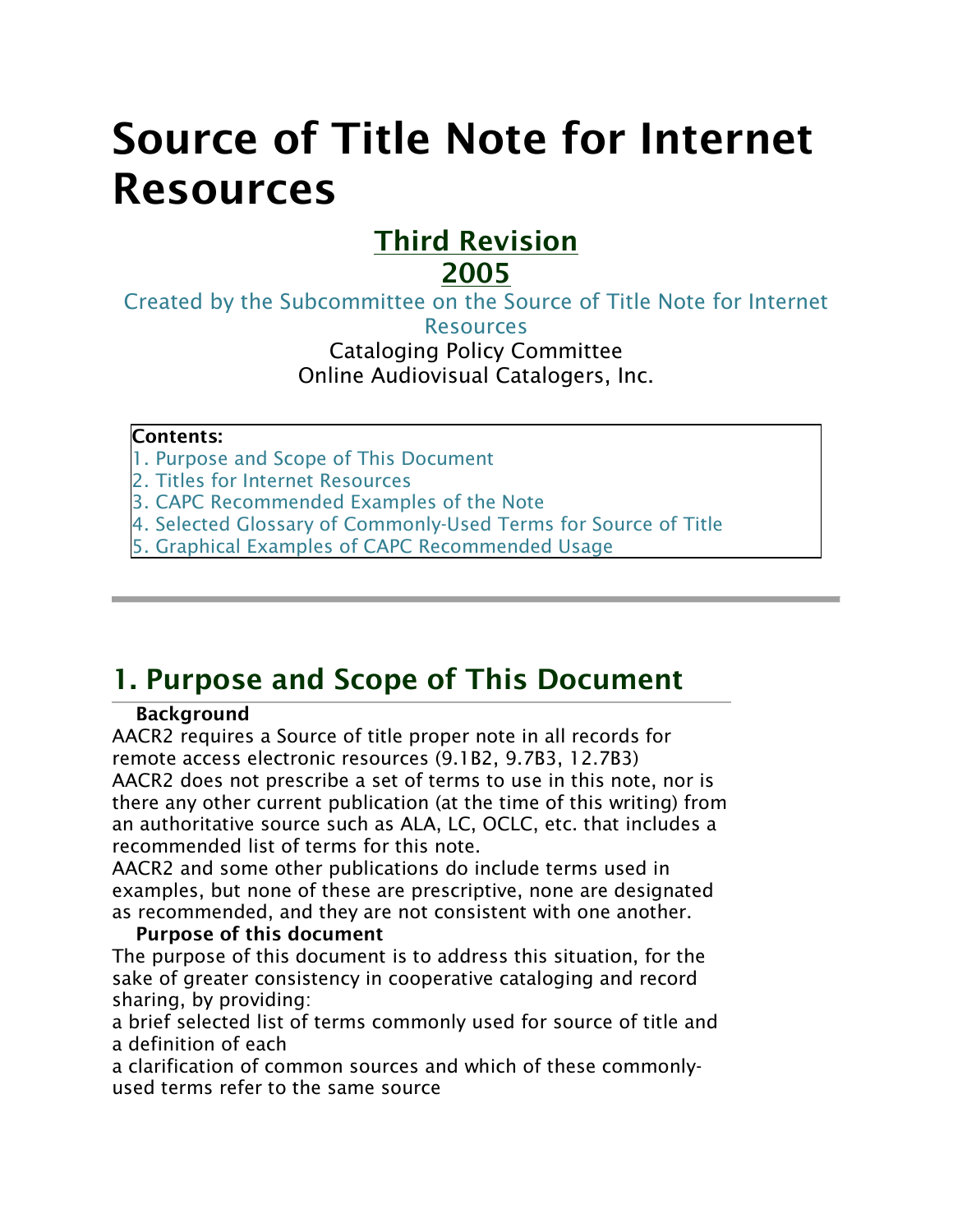# Source of Title Note for Internet Resources

## Third Revision 2005

[Created by the Subcommittee on the Source of Title Note for Internet](https://web.archive.org/web/20160305063758/http:/olacinc.org/drupal/?q=node/476) 

**[Resources](https://web.archive.org/web/20160305063758/http:/olacinc.org/drupal/?q=node/476)** 

Cataloging Policy Committee Online Audiovisual Catalogers, Inc.

#### Contents:

[1. Purpose and Scope of This Document](https://web.archive.org/web/20160305063758/http:/olacinc.org/drupal/?q=node/20#1.%20Purpose%20and%20Scope%20of%20This%20Document)

[2. Titles for Internet Resources](https://web.archive.org/web/20160305063758/http:/olacinc.org/drupal/?q=node/20#2.%20Titles%20for%20Internet%20Resources:%20Primary%20Rules%20and%20Concepts)

[3. CAPC Recommended Examples of the Note](https://web.archive.org/web/20160305063758/http:/olacinc.org/drupal/?q=node/20#3.%20CAPC%20Recommendations%20for%20Terminology%20with%20Examples)

[4. Selected Glossary of Commonly-Used Terms for Source of Title](https://web.archive.org/web/20160305063758/http:/olacinc.org/drupal/?q=node/20#4.%20Selected%20Glossary%20of%20Commonly-Used%20Terms%20for%20Source%20of%20Title)

[5. Graphical Examples of CAPC Recommended Usage](https://web.archive.org/web/20160305063758/http:/olacinc.org/drupal/?q=node/20#5.%20Graphical%20Examples%20of%20CAPC%20Recommended%20Usage)

## 1. Purpose and Scope of This Document

#### **Background**

AACR2 requires a Source of title proper note in all records for remote access electronic resources (9.1B2, 9.7B3, 12.7B3) AACR2 does not prescribe a set of terms to use in this note, nor is there any other current publication (at the time of this writing) from an authoritative source such as ALA, LC, OCLC, etc. that includes a recommended list of terms for this note.

AACR2 and some other publications do include terms used in examples, but none of these are prescriptive, none are designated as recommended, and they are not consistent with one another.

#### Purpose of this document

The purpose of this document is to address this situation, for the sake of greater consistency in cooperative cataloging and record sharing, by providing:

a brief selected list of terms commonly used for source of title and a definition of each

a clarification of common sources and which of these commonlyused terms refer to the same source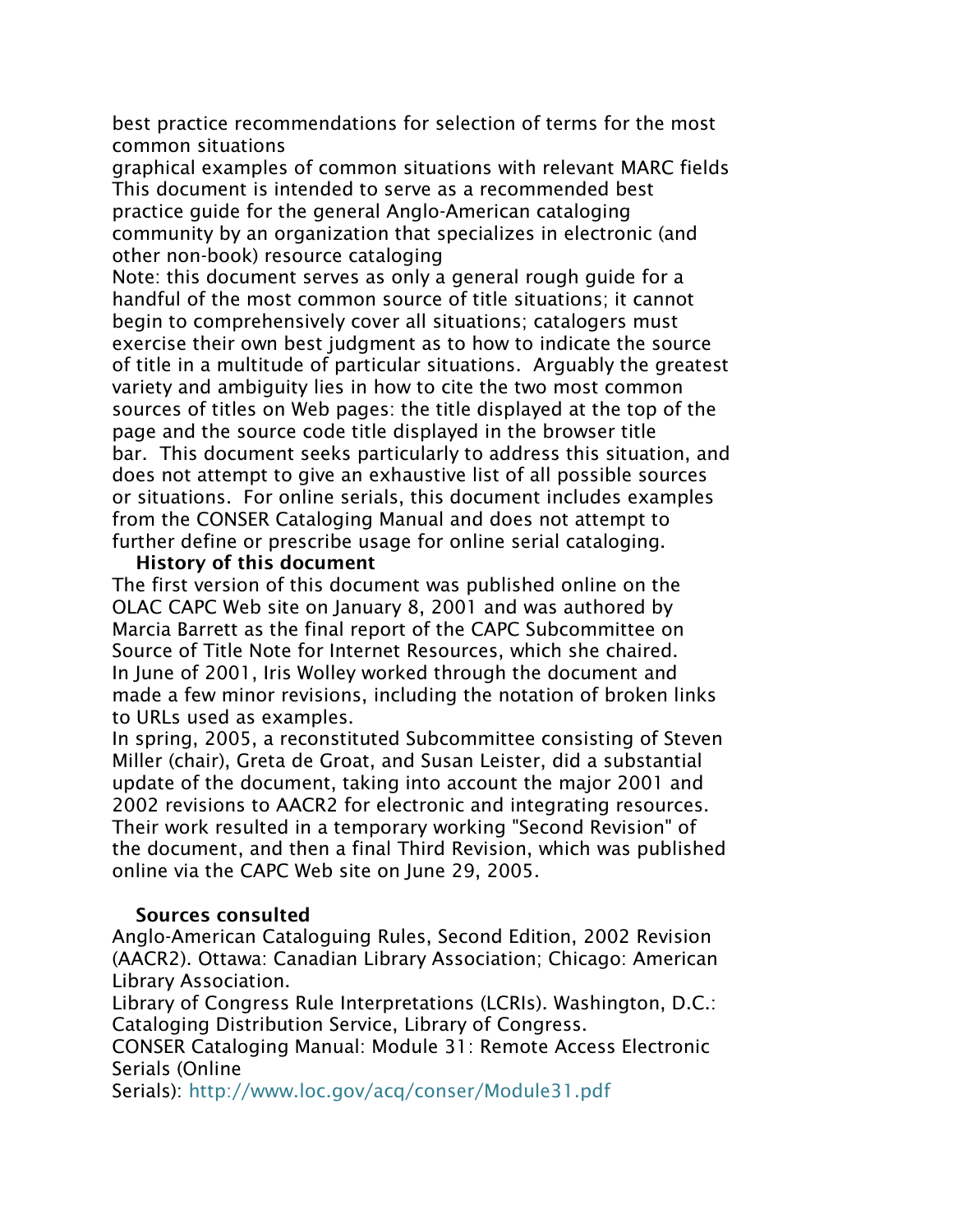best practice recommendations for selection of terms for the most common situations

graphical examples of common situations with relevant MARC fields This document is intended to serve as a recommended best practice guide for the general Anglo-American cataloging community by an organization that specializes in electronic (and other non-book) resource cataloging

Note: this document serves as only a general rough guide for a handful of the most common source of title situations; it cannot begin to comprehensively cover all situations; catalogers must exercise their own best judgment as to how to indicate the source of title in a multitude of particular situations. Arguably the greatest variety and ambiguity lies in how to cite the two most common sources of titles on Web pages: the title displayed at the top of the page and the source code title displayed in the browser title bar. This document seeks particularly to address this situation, and does not attempt to give an exhaustive list of all possible sources or situations. For online serials, this document includes examples from the CONSER Cataloging Manual and does not attempt to further define or prescribe usage for online serial cataloging.

#### History of this document

The first version of this document was published online on the OLAC CAPC Web site on January 8, 2001 and was authored by Marcia Barrett as the final report of the CAPC Subcommittee on Source of Title Note for Internet Resources, which she chaired. In June of 2001, Iris Wolley worked through the document and made a few minor revisions, including the notation of broken links to URLs used as examples.

In spring, 2005, a reconstituted Subcommittee consisting of Steven Miller (chair), Greta de Groat, and Susan Leister, did a substantial update of the document, taking into account the major 2001 and 2002 revisions to AACR2 for electronic and integrating resources. Their work resulted in a temporary working "Second Revision" of the document, and then a final Third Revision, which was published online via the CAPC Web site on June 29, 2005.

#### Sources consulted

Anglo-American Cataloguing Rules, Second Edition, 2002 Revision (AACR2). Ottawa: Canadian Library Association; Chicago: American Library Association.

Library of Congress Rule Interpretations (LCRIs). Washington, D.C.: Cataloging Distribution Service, Library of Congress.

CONSER Cataloging Manual: Module 31: Remote Access Electronic Serials (Online

Serials): <http://www.loc.gov/acq/conser/Module31.pdf>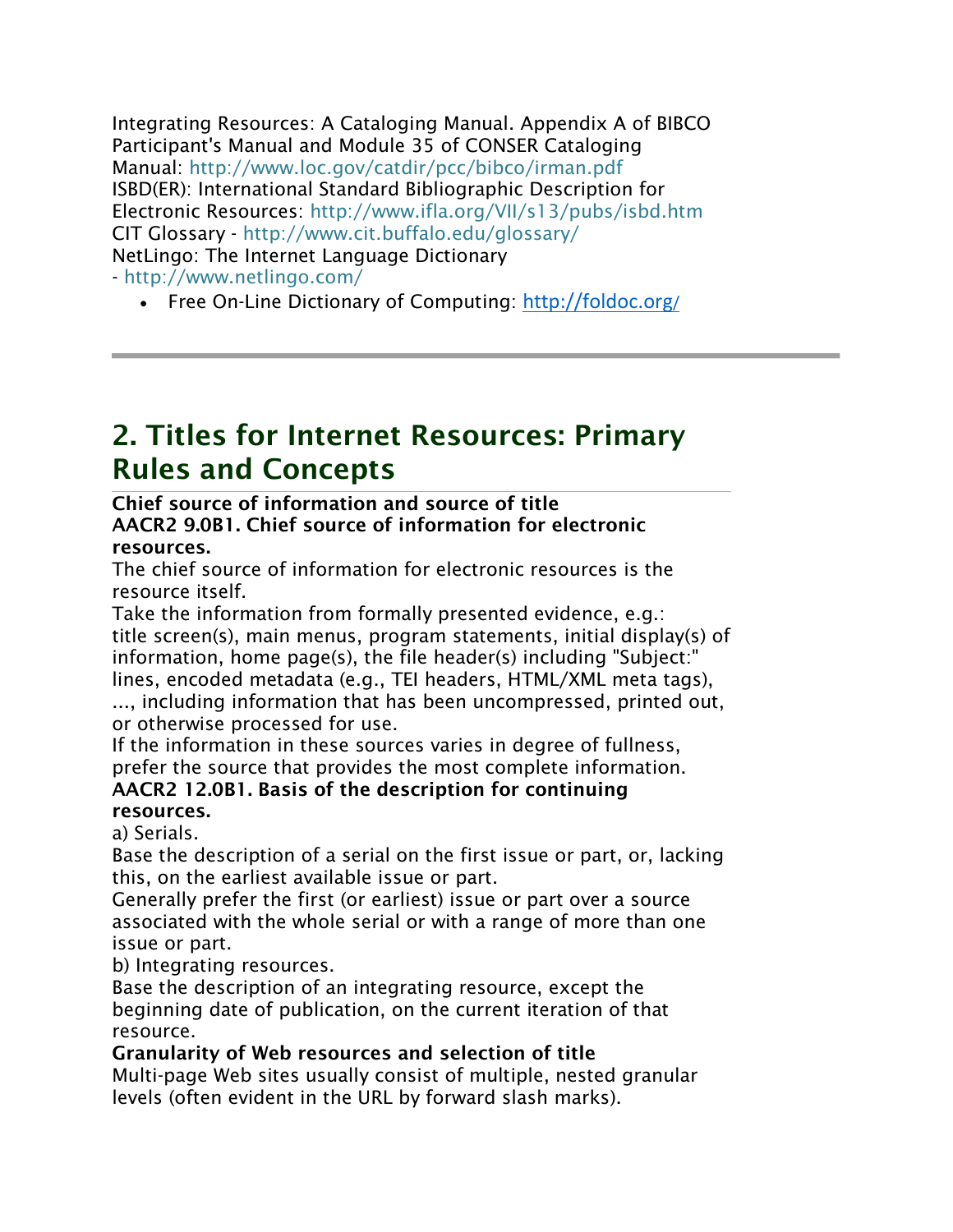Integrating Resources: A Cataloging Manual. Appendix A of BIBCO Participant's Manual and Module 35 of CONSER Cataloging Manual: <http://www.loc.gov/catdir/pcc/bibco/irman.pdf> ISBD(ER): International Standard Bibliographic Description for Electronic Resources: <http://www.ifla.org/VII/s13/pubs/isbd.htm> CIT Glossary - <http://www.cit.buffalo.edu/glossary/> NetLingo: The Internet Language Dictionary - <http://www.netlingo.com/>

• Free On-Line Dictionary of Computing: <http://foldoc.org/>

## 2. Titles for Internet Resources: Primary Rules and Concepts

#### Chief source of information and source of title AACR2 9.0B1. Chief source of information for electronic resources.

The chief source of information for electronic resources is the resource itself.

Take the information from formally presented evidence, e.g.: title screen(s), main menus, program statements, initial display(s) of information, home page(s), the file header(s) including "Subject:" lines, encoded metadata (e.g., TEI headers, HTML/XML meta tags),

..., including information that has been uncompressed, printed out, or otherwise processed for use.

If the information in these sources varies in degree of fullness, prefer the source that provides the most complete information. AACR2 12.0B1. Basis of the description for continuing resources.

a) Serials.

Base the description of a serial on the first issue or part, or, lacking this, on the earliest available issue or part.

Generally prefer the first (or earliest) issue or part over a source associated with the whole serial or with a range of more than one issue or part.

b) Integrating resources.

Base the description of an integrating resource, except the beginning date of publication, on the current iteration of that resource.

Granularity of Web resources and selection of title

Multi-page Web sites usually consist of multiple, nested granular levels (often evident in the URL by forward slash marks).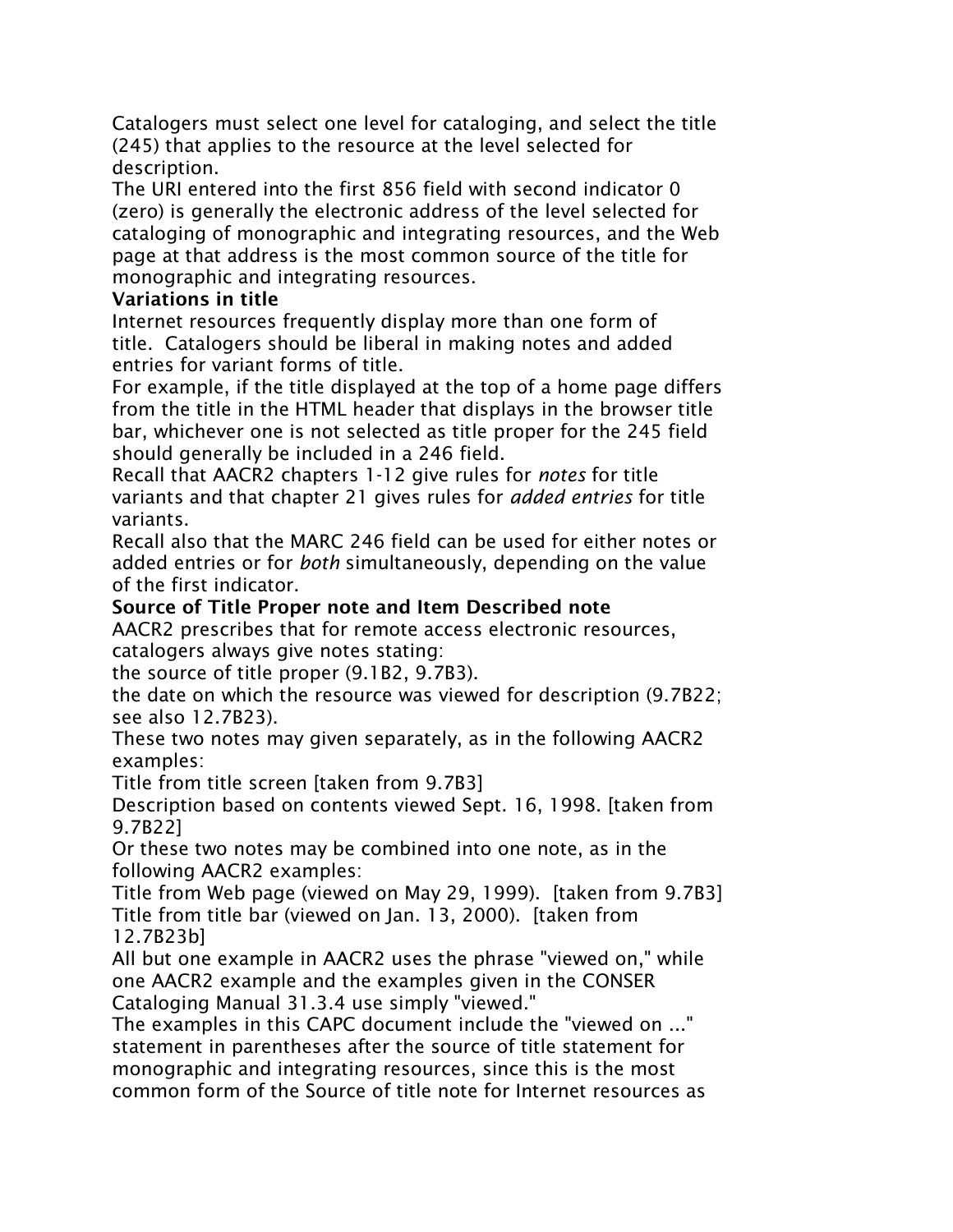Catalogers must select one level for cataloging, and select the title (245) that applies to the resource at the level selected for description.

The URI entered into the first 856 field with second indicator 0 (zero) is generally the electronic address of the level selected for cataloging of monographic and integrating resources, and the Web page at that address is the most common source of the title for monographic and integrating resources.

#### Variations in title

Internet resources frequently display more than one form of title. Catalogers should be liberal in making notes and added entries for variant forms of title.

For example, if the title displayed at the top of a home page differs from the title in the HTML header that displays in the browser title bar, whichever one is not selected as title proper for the 245 field should generally be included in a 246 field.

Recall that AACR2 chapters 1-12 give rules for *notes* for title variants and that chapter 21 gives rules for *added entries* for title variants.

Recall also that the MARC 246 field can be used for either notes or added entries or for *both* simultaneously, depending on the value of the first indicator.

#### Source of Title Proper note and Item Described note

AACR2 prescribes that for remote access electronic resources, catalogers always give notes stating:

the source of title proper (9.1B2, 9.7B3).

the date on which the resource was viewed for description (9.7B22; see also 12.7B23).

These two notes may given separately, as in the following AACR2 examples:

Title from title screen [taken from 9.7B3]

Description based on contents viewed Sept. 16, 1998. [taken from 9.7B22]

Or these two notes may be combined into one note, as in the following AACR2 examples:

Title from Web page (viewed on May 29, 1999). [taken from 9.7B3] Title from title bar (viewed on Jan. 13, 2000). [taken from 12.7B23b]

All but one example in AACR2 uses the phrase "viewed on," while one AACR2 example and the examples given in the CONSER Cataloging Manual 31.3.4 use simply "viewed."

The examples in this CAPC document include the "viewed on ..." statement in parentheses after the source of title statement for monographic and integrating resources, since this is the most common form of the Source of title note for Internet resources as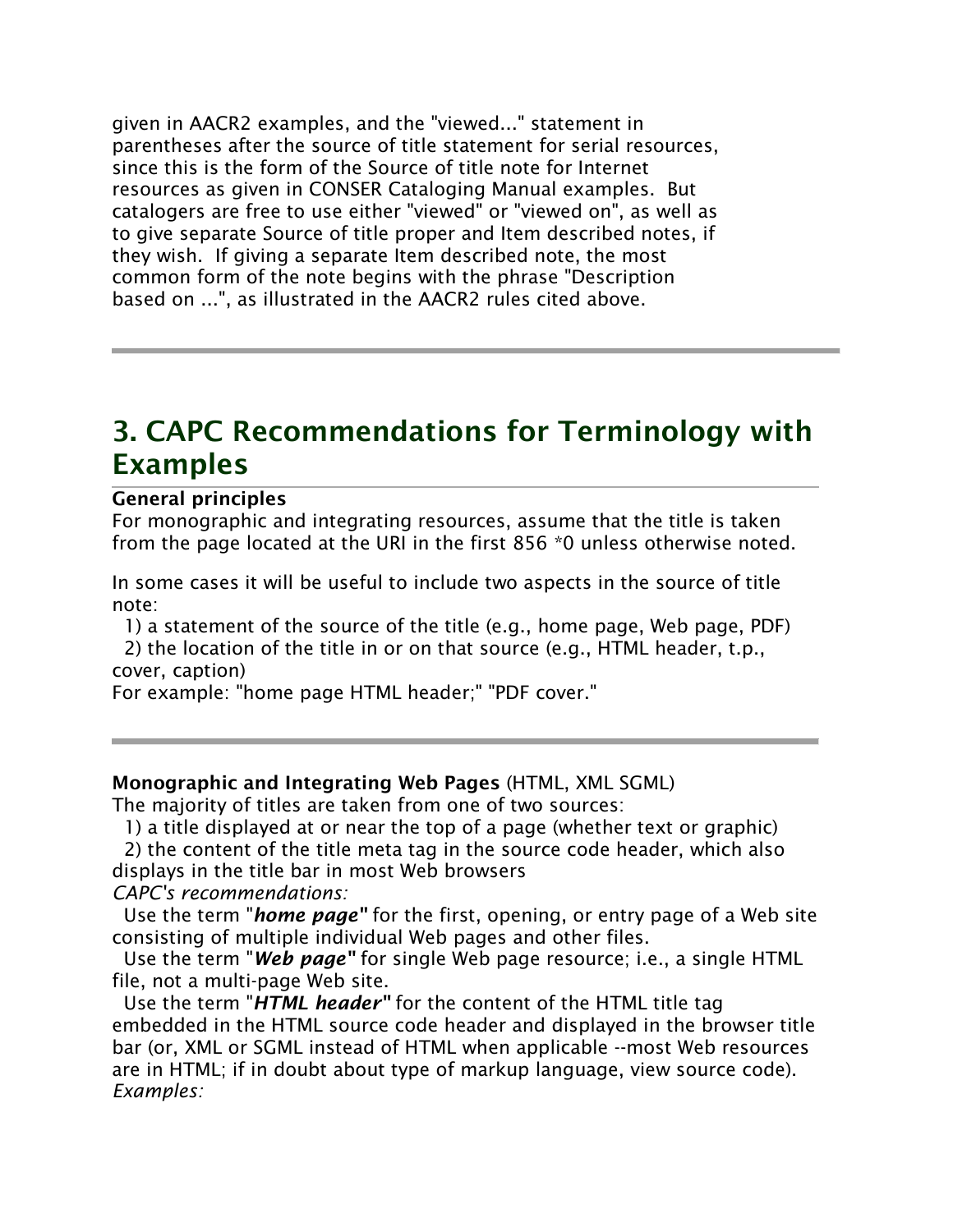given in AACR2 examples, and the "viewed..." statement in parentheses after the source of title statement for serial resources, since this is the form of the Source of title note for Internet resources as given in CONSER Cataloging Manual examples. But catalogers are free to use either "viewed" or "viewed on", as well as to give separate Source of title proper and Item described notes, if they wish. If giving a separate Item described note, the most common form of the note begins with the phrase "Description based on ...", as illustrated in the AACR2 rules cited above.

## 3. CAPC Recommendations for Terminology with Examples

#### General principles

For monographic and integrating resources, assume that the title is taken from the page located at the URI in the first 856 \*0 unless otherwise noted.

In some cases it will be useful to include two aspects in the source of title note:

1) a statement of the source of the title (e.g., home page, Web page, PDF)

2) the location of the title in or on that source (e.g., HTML header, t.p., cover, caption)

For example: "home page HTML header;" "PDF cover."

#### Monographic and Integrating Web Pages (HTML, XML SGML)

The majority of titles are taken from one of two sources:

1) a title displayed at or near the top of a page (whether text or graphic)

2) the content of the title meta tag in the source code header, which also displays in the title bar in most Web browsers

*CAPC's recommendations:*

Use the term "*home page"* for the first, opening, or entry page of a Web site consisting of multiple individual Web pages and other files.

Use the term "*Web page"* for single Web page resource; i.e., a single HTML file, not a multi-page Web site.

Use the term "*HTML header"* for the content of the HTML title tag embedded in the HTML source code header and displayed in the browser title bar (or, XML or SGML instead of HTML when applicable --most Web resources are in HTML; if in doubt about type of markup language, view source code). *Examples:*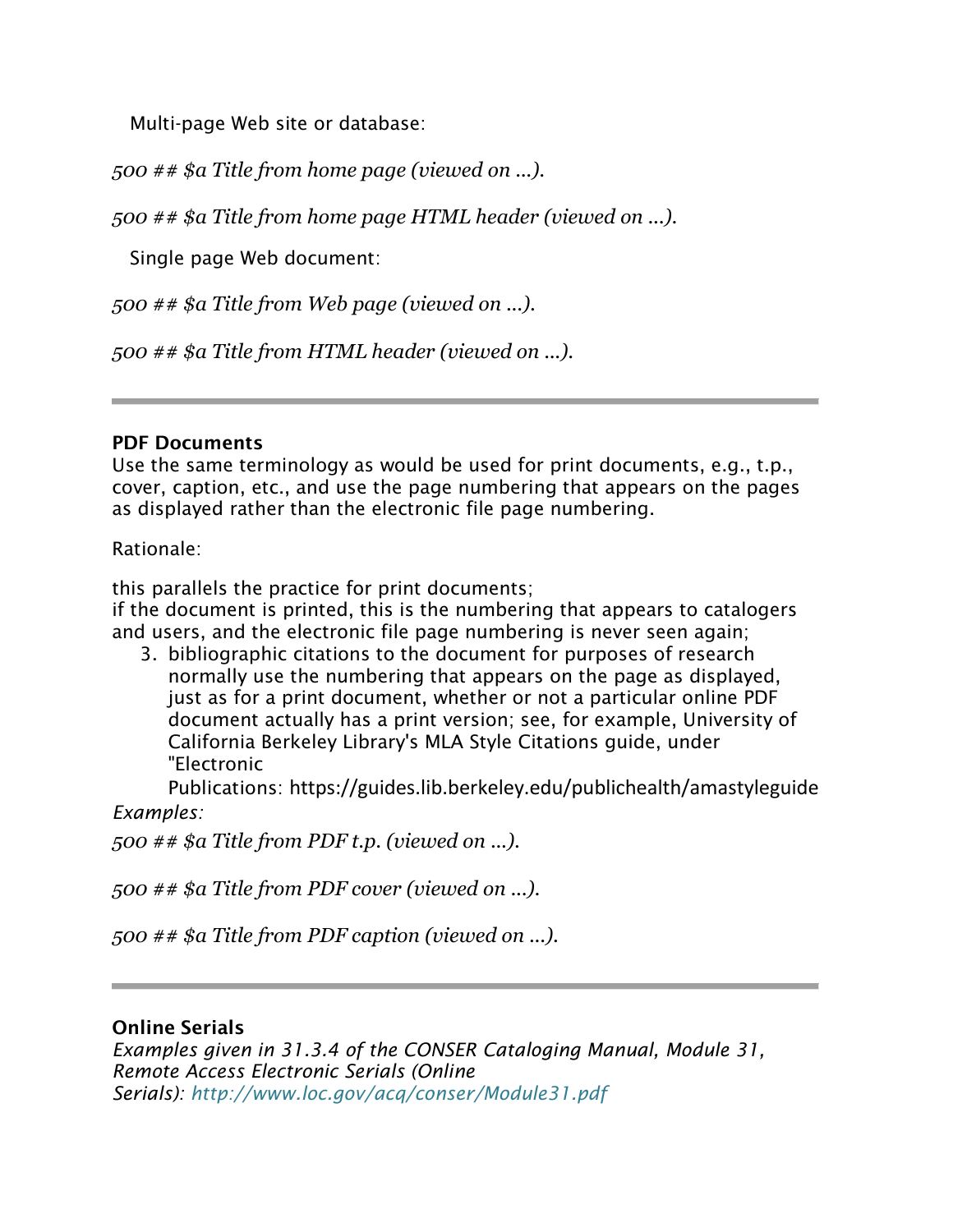Multi-page Web site or database:

*500 ## \$a Title from home page (viewed on ...).*

*500 ## \$a Title from home page HTML header (viewed on ...).*

Single page Web document:

*500 ## \$a Title from Web page (viewed on ...).*

*500 ## \$a Title from HTML header (viewed on ...).*

#### PDF Documents

Use the same terminology as would be used for print documents, e.g., t.p., cover, caption, etc., and use the page numbering that appears on the pages as displayed rather than the electronic file page numbering.

Rationale:

this parallels the practice for print documents;

if the document is printed, this is the numbering that appears to catalogers and users, and the electronic file page numbering is never seen again;

3. bibliographic citations to the document for purposes of research normally use the numbering that appears on the page as displayed, just as for a print document, whether or not a particular online PDF document actually has a print version; see, for example, University of California Berkeley Library's MLA Style Citations guide, under "Electronic

Publications: https://guides.lib.berkeley.edu/publichealth/amastyleguide *Examples:*

*500 ## \$a Title from PDF t.p. (viewed on ...).*

*500 ## \$a Title from PDF cover (viewed on ...).*

*500 ## \$a Title from PDF caption (viewed on ...).*

#### Online Serials

*Examples given in 31.3.4 of the CONSER Cataloging Manual, Module 31, Remote Access Electronic Serials (Online Serials): <http://www.loc.gov/acq/conser/Module31.pdf>*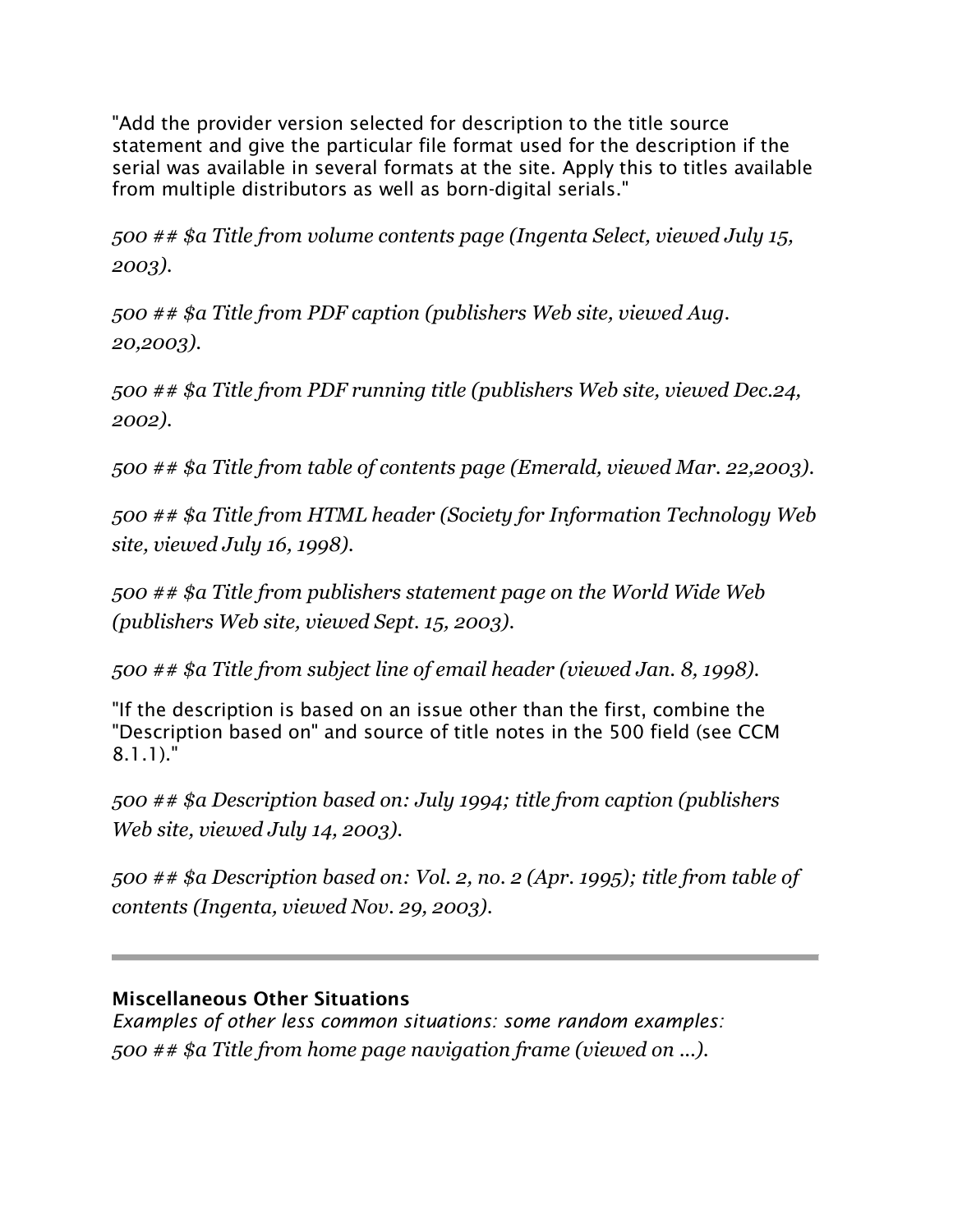"Add the provider version selected for description to the title source statement and give the particular file format used for the description if the serial was available in several formats at the site. Apply this to titles available from multiple distributors as well as born-digital serials."

*500 ## \$a Title from volume contents page (Ingenta Select, viewed July 15, 2003).*

*500 ## \$a Title from PDF caption (publishers Web site, viewed Aug. 20,2003).*

*500 ## \$a Title from PDF running title (publishers Web site, viewed Dec.24, 2002).*

*500 ## \$a Title from table of contents page (Emerald, viewed Mar. 22,2003).*

*500 ## \$a Title from HTML header (Society for Information Technology Web site, viewed July 16, 1998).*

*500 ## \$a Title from publishers statement page on the World Wide Web (publishers Web site, viewed Sept. 15, 2003).*

*500 ## \$a Title from subject line of email header (viewed Jan. 8, 1998).*

"If the description is based on an issue other than the first, combine the "Description based on" and source of title notes in the 500 field (see CCM 8.1.1)."

*500 ## \$a Description based on: July 1994; title from caption (publishers Web site, viewed July 14, 2003).*

*500 ## \$a Description based on: Vol. 2, no. 2 (Apr. 1995); title from table of contents (Ingenta, viewed Nov. 29, 2003).*

#### Miscellaneous Other Situations

*Examples of other less common situations: some random examples: 500 ## \$a Title from home page navigation frame (viewed on ...).*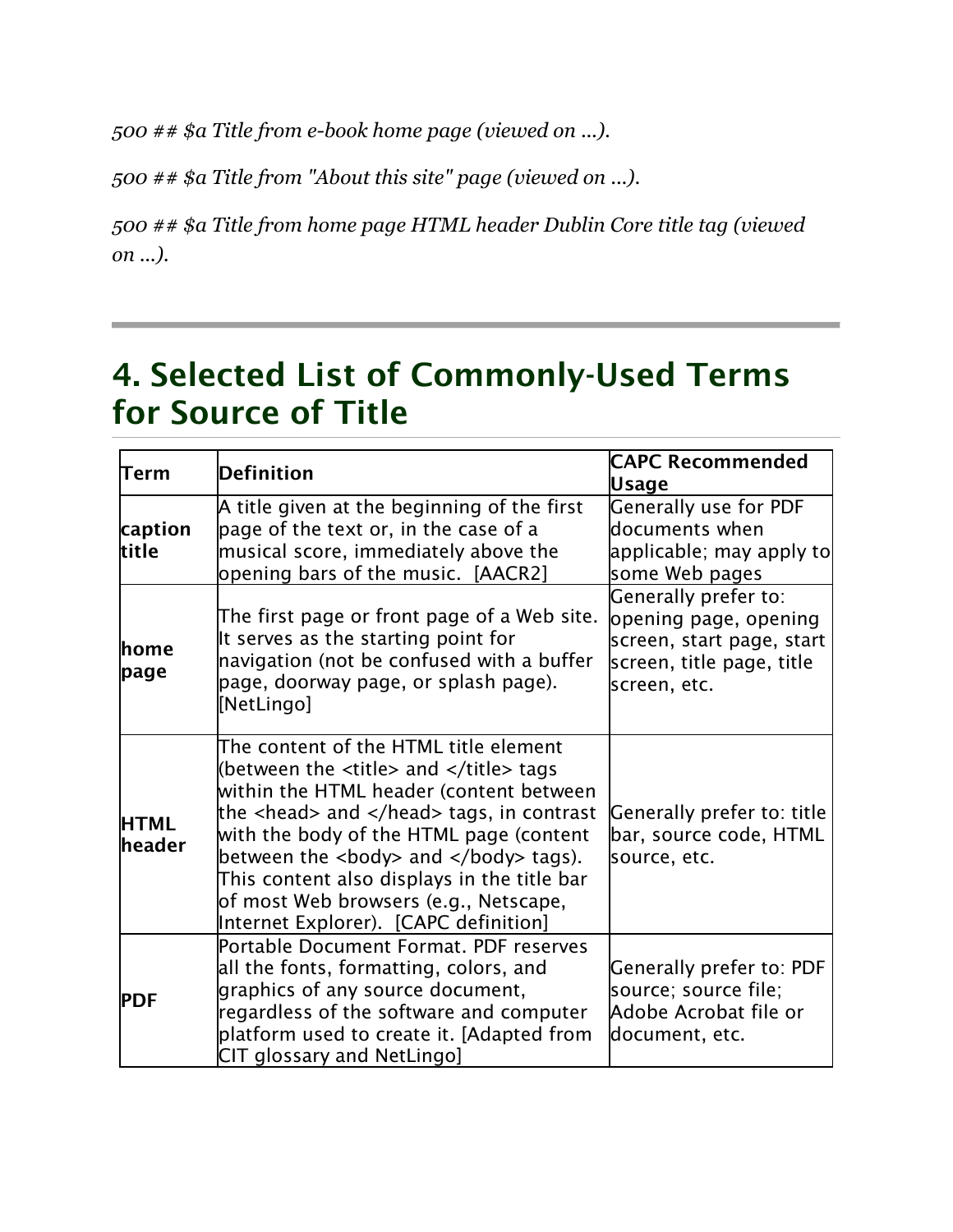*500 ## \$a Title from e-book home page (viewed on ...).*

*500 ## \$a Title from "About this site" page (viewed on ...).*

*500 ## \$a Title from home page HTML header Dublin Core title tag (viewed on ...).*

## 4. Selected List of Commonly-Used Terms for Source of Title

| $\sf Term$                   | <b>Definition</b>                                                                                                                                                                                                                                                                                                                                                                                                                                                         | <b>CAPC Recommended</b><br><b>Usage</b>                                                                                 |
|------------------------------|---------------------------------------------------------------------------------------------------------------------------------------------------------------------------------------------------------------------------------------------------------------------------------------------------------------------------------------------------------------------------------------------------------------------------------------------------------------------------|-------------------------------------------------------------------------------------------------------------------------|
| caption<br>ltitle            | A title given at the beginning of the first<br>page of the text or, in the case of a<br>musical score, immediately above the<br>opening bars of the music. [AACR2]                                                                                                                                                                                                                                                                                                        | <b>Generally use for PDF</b><br>documents when<br>applicable; may apply to<br>some Web pages                            |
| lhome<br>page                | The first page or front page of a Web site.<br>It serves as the starting point for<br>navigation (not be confused with a buffer<br>page, doorway page, or splash page).<br>[NetLingo]                                                                                                                                                                                                                                                                                     | Generally prefer to:<br>opening page, opening<br>screen, start page, start<br>screen, title page, title<br>screen, etc. |
| <b>HTML</b><br><b>header</b> | The content of the HTML title element<br>(between the $\lt$ title> and $\lt$ /title> tags<br>within the HTML header (content between<br>the $\alpha$ -head> and $\alpha$ and $\alpha$ tags, in contrast<br>with the body of the HTML page (content<br>between the $\langle \text{body} \rangle$ and $\langle \text{body} \rangle$ tags).<br>This content also displays in the title bar<br>of most Web browsers (e.g., Netscape,<br>Internet Explorer). [CAPC definition] | Generally prefer to: title<br>bar, source code, HTML<br>source, etc.                                                    |
| <b>PDF</b>                   | Portable Document Format. PDF reserves<br>all the fonts, formatting, colors, and<br>graphics of any source document,<br>regardless of the software and computer<br>platform used to create it. [Adapted from<br>CIT glossary and NetLingo]                                                                                                                                                                                                                                | <b>Generally prefer to: PDF</b><br>source; source file;<br>Adobe Acrobat file or<br>document, etc.                      |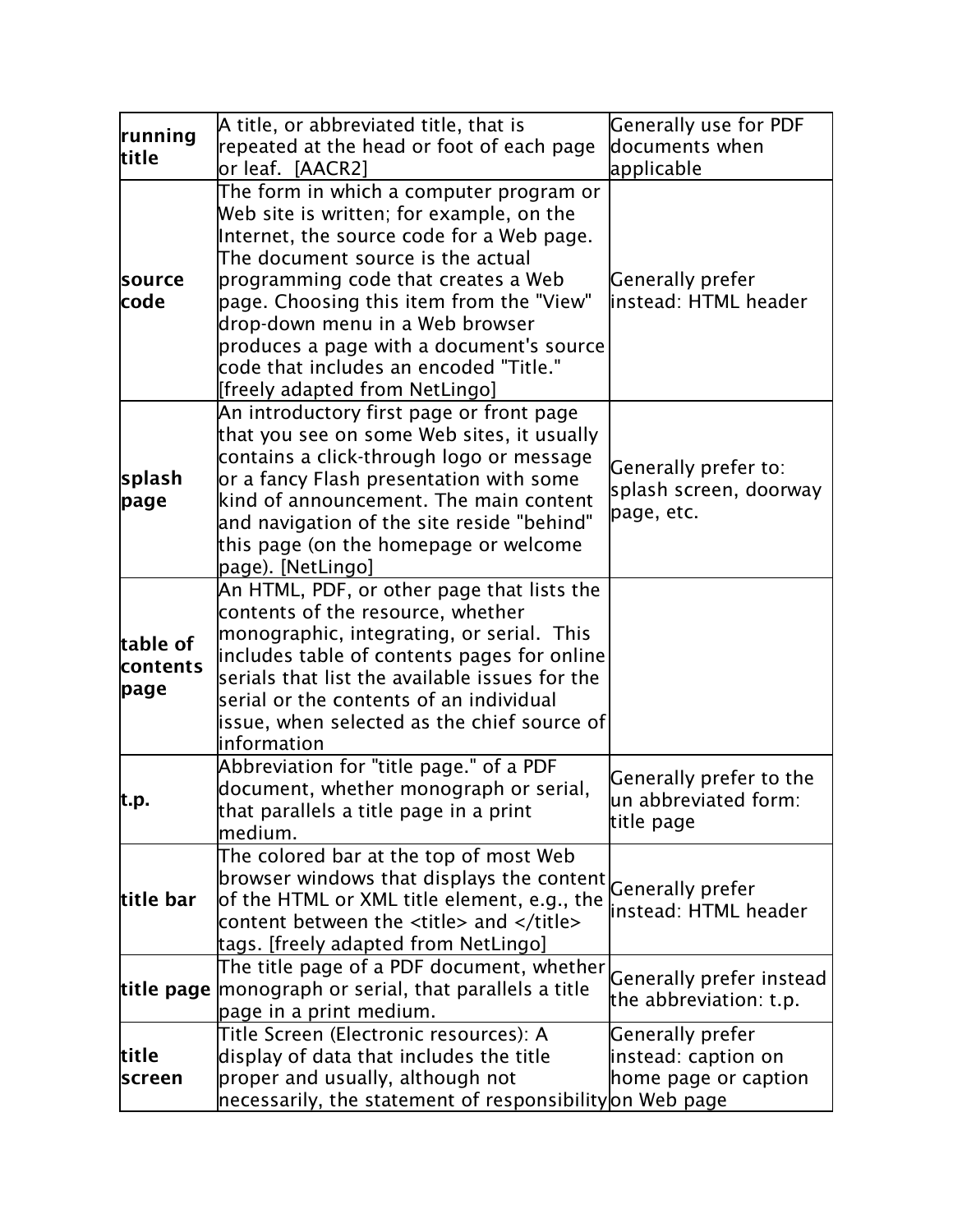| running<br>title             | A title, or abbreviated title, that is                                                                                                                                                                                                                                                                                                   | Generally use for PDF                                           |
|------------------------------|------------------------------------------------------------------------------------------------------------------------------------------------------------------------------------------------------------------------------------------------------------------------------------------------------------------------------------------|-----------------------------------------------------------------|
|                              | repeated at the head or foot of each page<br>or leaf. [AACR2]                                                                                                                                                                                                                                                                            | documents when<br>applicable                                    |
| source<br>code               | The form in which a computer program or<br>Web site is written; for example, on the                                                                                                                                                                                                                                                      |                                                                 |
|                              | Internet, the source code for a Web page.<br>The document source is the actual<br>programming code that creates a Web<br>page. Choosing this item from the "View"<br>drop-down menu in a Web browser<br>produces a page with a document's source<br> code that includes an encoded "Title."<br>[freely adapted from NetLingo]            | Generally prefer<br>linstead: HTML header                       |
| splash<br>page               | An introductory first page or front page<br>that you see on some Web sites, it usually<br>contains a click-through logo or message<br>or a fancy Flash presentation with some<br>$\,$ kind of announcement. The main content<br>and navigation of the site reside "behind"<br>this page (on the homepage or welcome<br>page). [NetLingo] | Generally prefer to:<br>splash screen, doorway<br>page, etc.    |
| table of<br>contents<br>page | An HTML, PDF, or other page that lists the<br>contents of the resource, whether<br>monographic, integrating, or serial. This<br>includes table of contents pages for online<br>serials that list the available issues for the<br>serial or the contents of an individual<br>issue, when selected as the chief source of<br>linformation  |                                                                 |
| t.p.                         | Abbreviation for "title page." of a PDF<br>document, whether monograph or serial,<br>that parallels a title page in a print<br>medium.                                                                                                                                                                                                   | Generally prefer to the<br>un abbreviated form:<br>title page   |
| title bar                    | The colored bar at the top of most Web<br>browser windows that displays the content<br>of the HTML or XML title element, e.g., the<br>content between the <title> and </title><br>tags. [freely adapted from NetLingo]                                                                                                                   | <b>Generally prefer</b><br>linstead: HTML header                |
|                              | The title page of a PDF document, whether<br>title page monograph or serial, that parallels a title<br>page in a print medium.                                                                                                                                                                                                           | Generally prefer instead<br>the abbreviation: t.p.              |
| title<br>screen              | Title Screen (Electronic resources): A<br>display of data that includes the title<br>proper and usually, although not<br>necessarily, the statement of responsibility on Web page                                                                                                                                                        | Generally prefer<br>instead: caption on<br>home page or caption |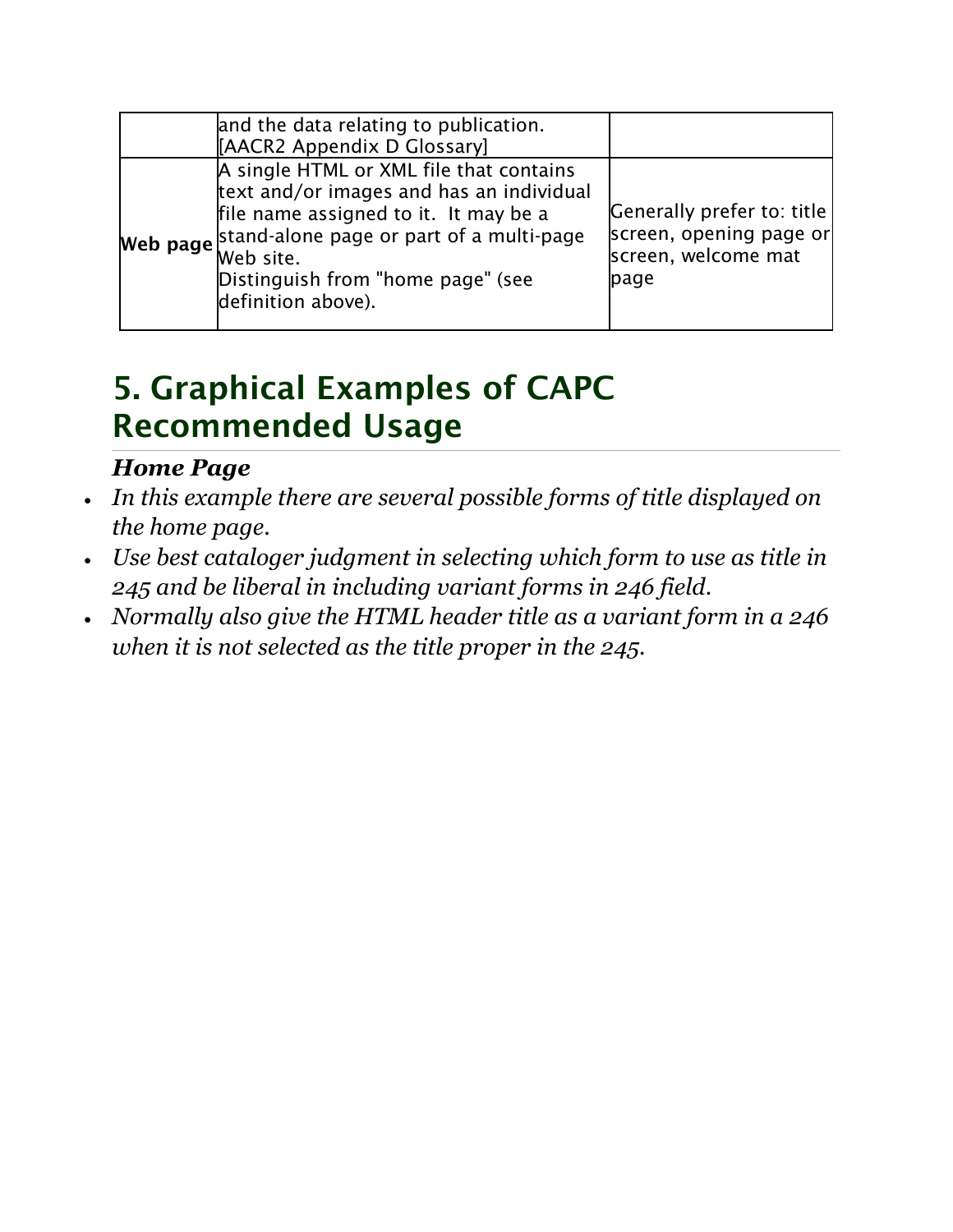| and the data relating to publication.<br>[AACR2 Appendix D Glossary]                                                                                                                                                                                      |                                                                                      |
|-----------------------------------------------------------------------------------------------------------------------------------------------------------------------------------------------------------------------------------------------------------|--------------------------------------------------------------------------------------|
| A single HTML or XML file that contains<br>text and/or images and has an individual<br>file name assigned to it. It may be a<br>Web page stand-alone page or part of a multi-page<br>Web site.<br>Distinguish from "home page" (see<br>definition above). | Generally prefer to: title<br>screen, opening page or<br>screen, welcome mat<br>page |

## 5. Graphical Examples of CAPC Recommended Usage

### *Home Page*

- *In this example there are several possible forms of title displayed on the home page.*
- *Use best cataloger judgment in selecting which form to use as title in 245 and be liberal in including variant forms in 246 field.*
- *Normally also give the HTML header title as a variant form in a 246 when it is not selected as the title proper in the 245.*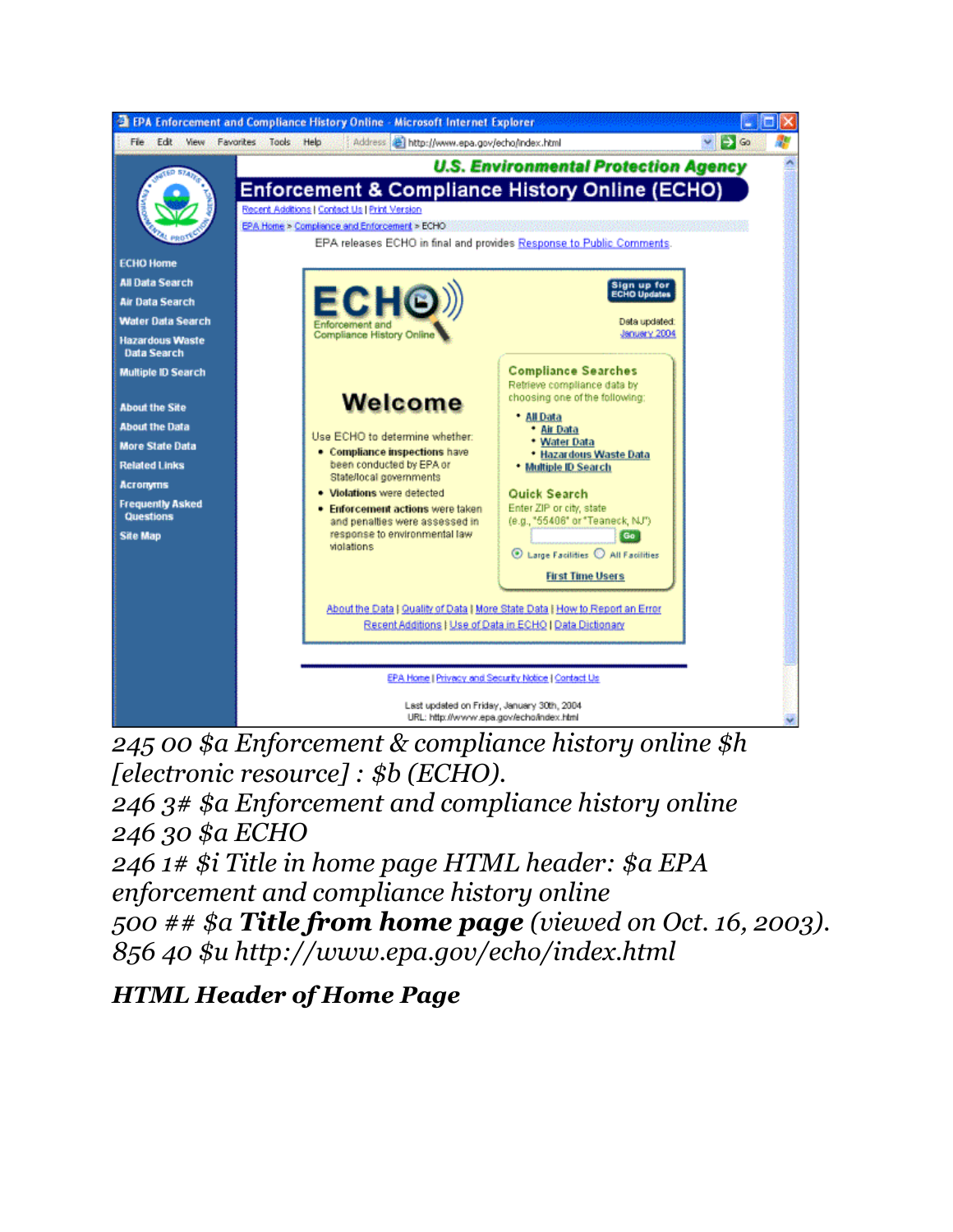

*245 00 \$a Enforcement & compliance history online \$h [electronic resource] : \$b (ECHO).*

*246 3# \$a Enforcement and compliance history online 246 30 \$a ECHO*

*246 1# \$i Title in home page HTML header: \$a EPA enforcement and compliance history online*

*500 ## \$a Title from home page (viewed on Oct. 16, 2003). 856 40 \$u http://www.epa.gov/echo/index.html*

*HTML Header of Home Page*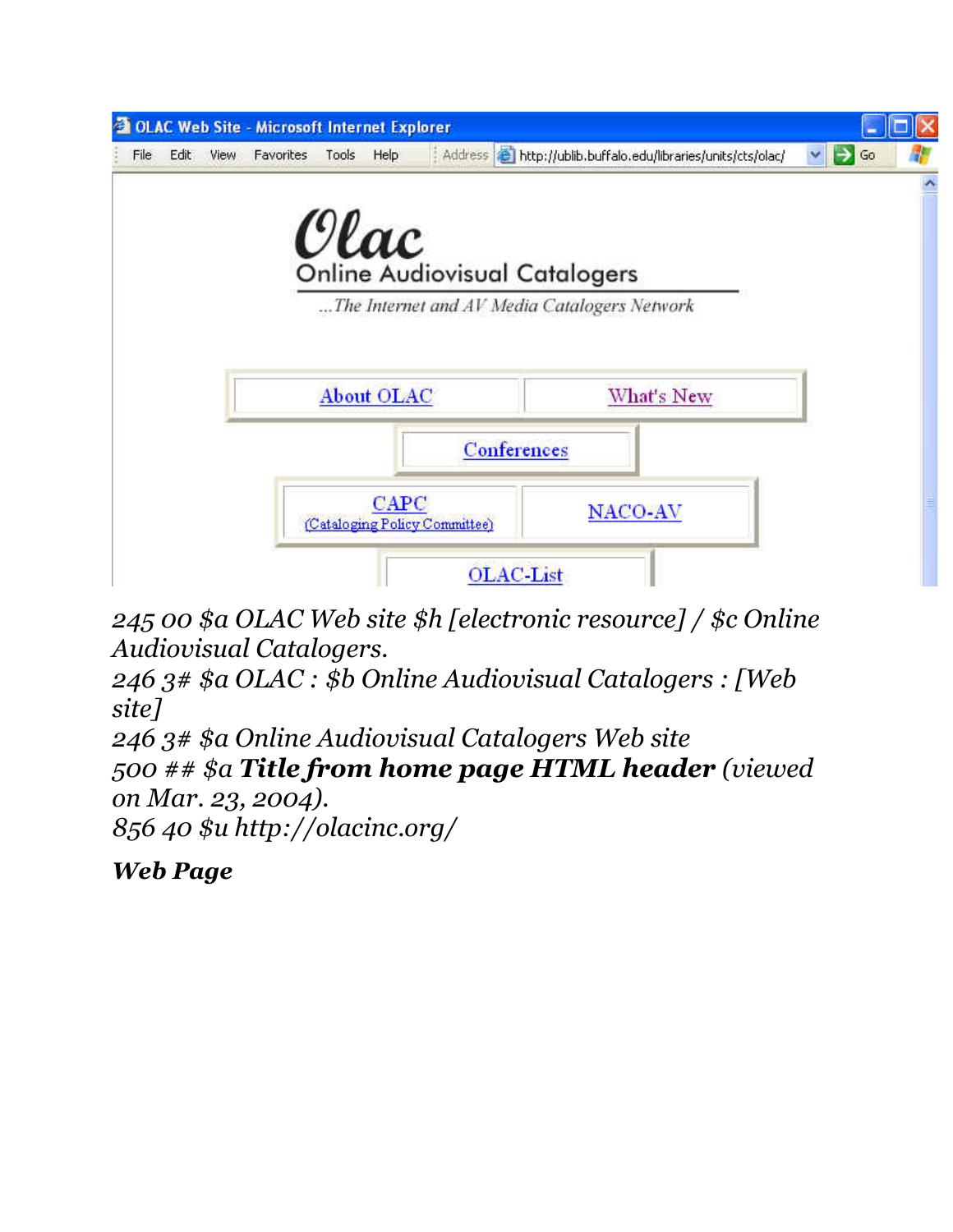

*245 00 \$a OLAC Web site \$h [electronic resource] / \$c Online Audiovisual Catalogers.*

*246 3# \$a OLAC : \$b Online Audiovisual Catalogers : [Web site]*

*246 3# \$a Online Audiovisual Catalogers Web site 500 ## \$a Title from home page HTML header (viewed on Mar. 23, 2004). 856 40 \$u http://olacinc.org/*

*Web Page*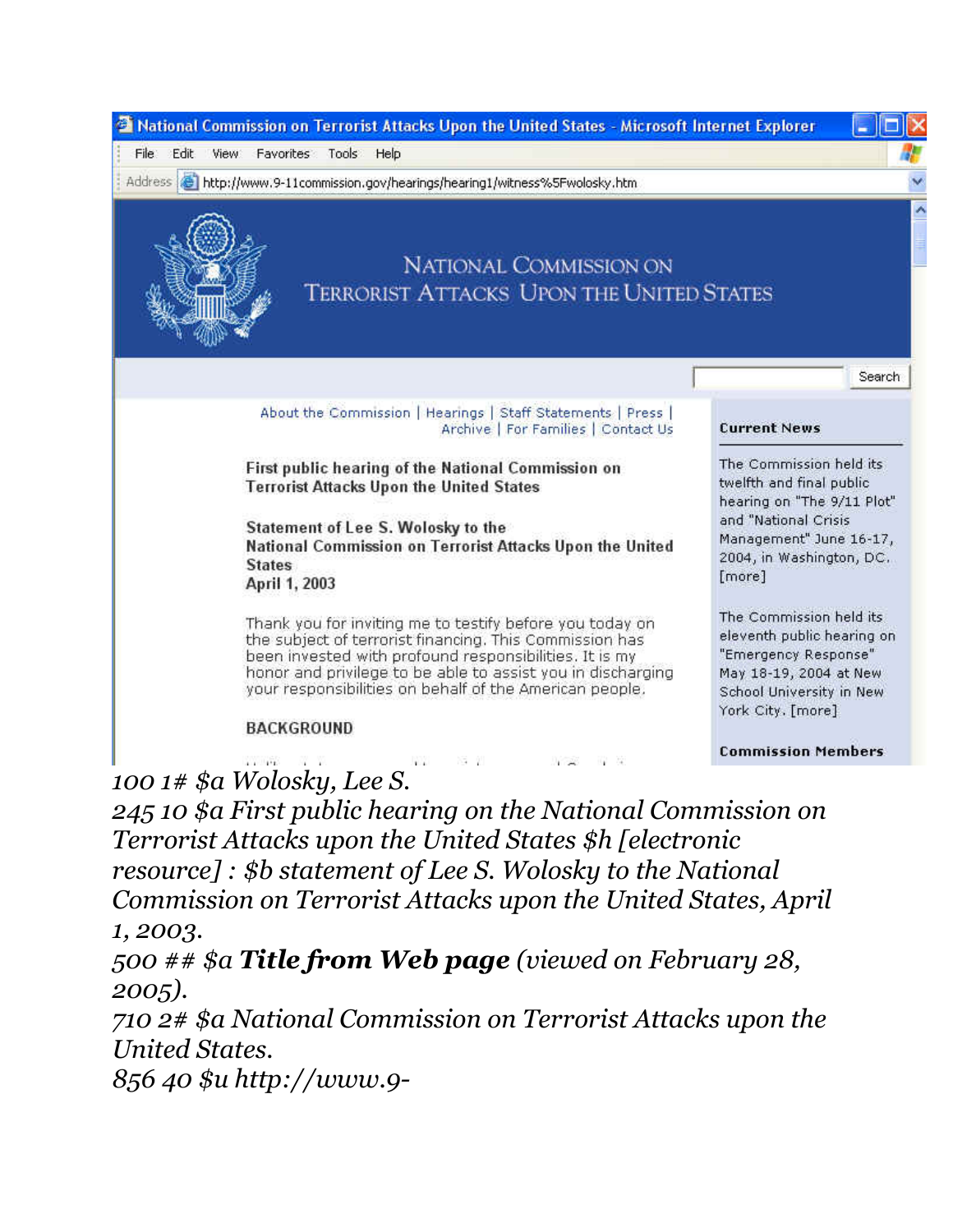

*100 1# \$a Wolosky, Lee S.*

*245 10 \$a First public hearing on the National Commission on Terrorist Attacks upon the United States \$h [electronic resource] : \$b statement of Lee S. Wolosky to the National Commission on Terrorist Attacks upon the United States, April 1, 2003.*

*500 ## \$a Title from Web page (viewed on February 28, 2005).*

*710 2# \$a National Commission on Terrorist Attacks upon the United States.*

*856 40 \$u http://www.9-*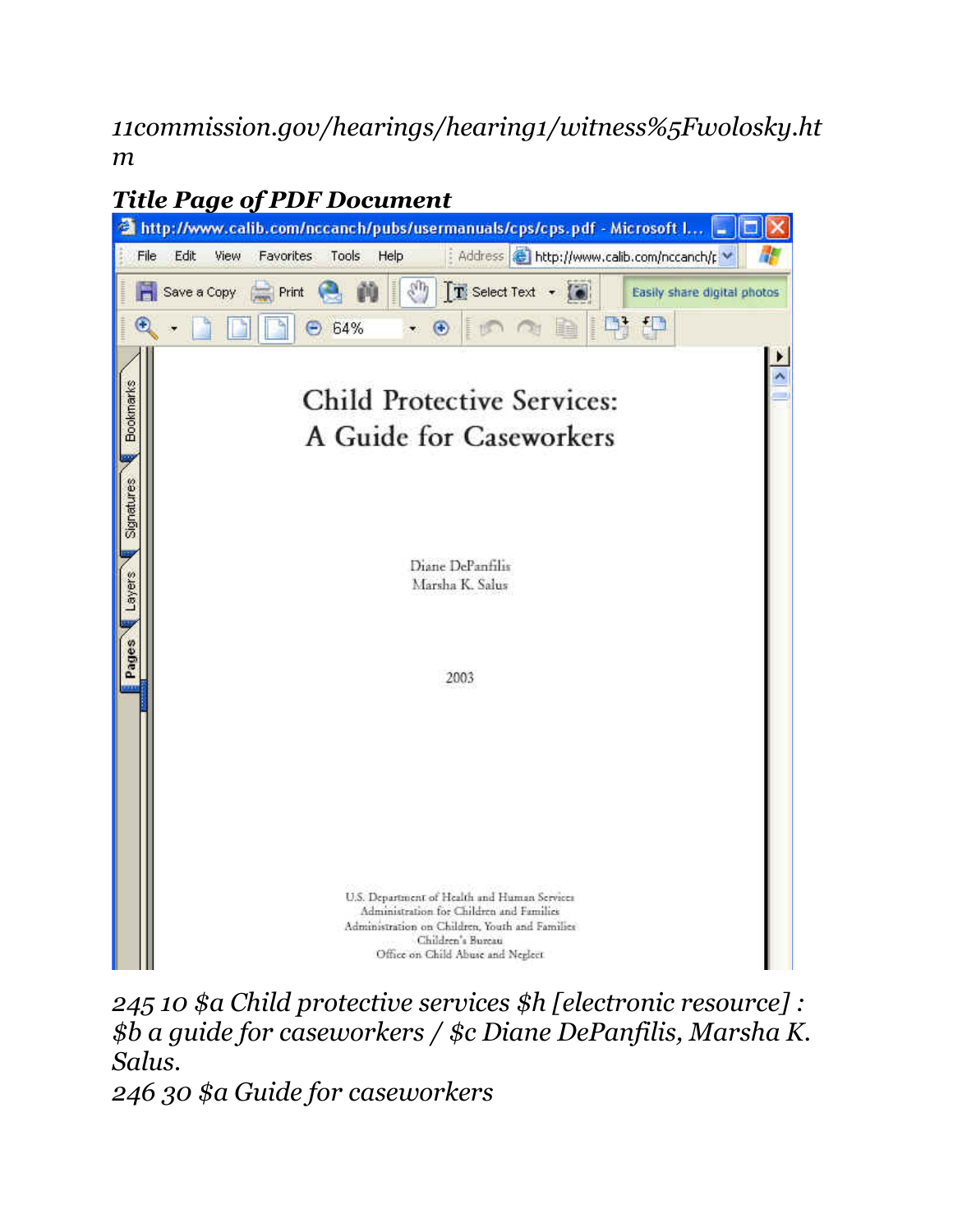*11commission.gov/hearings/hearing1/witness%5Fwolosky.ht m*



*245 10 \$a Child protective services \$h [electronic resource] : \$b a guide for caseworkers / \$c Diane DePanfilis, Marsha K. Salus.*

*246 30 \$a Guide for caseworkers*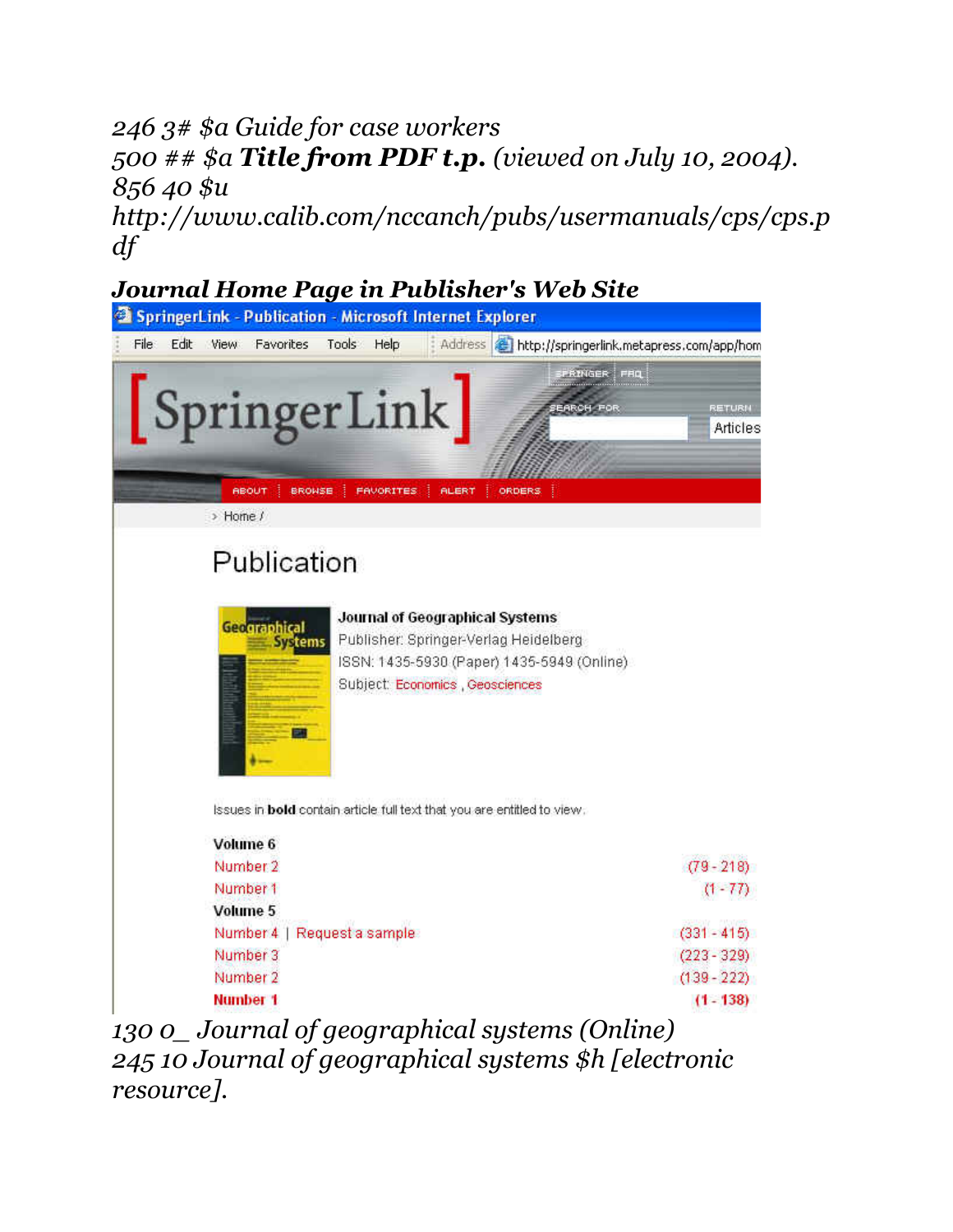## *246 3# \$a Guide for case workers 500 ## \$a Title from PDF t.p. (viewed on July 10, 2004). 856 40 \$u*

*http://www.calib.com/nccanch/pubs/usermanuals/cps/cps.p df*

### *Journal Home Page in Publisher's Web Site*



*245 10 Journal of geographical systems \$h [electronic resource].*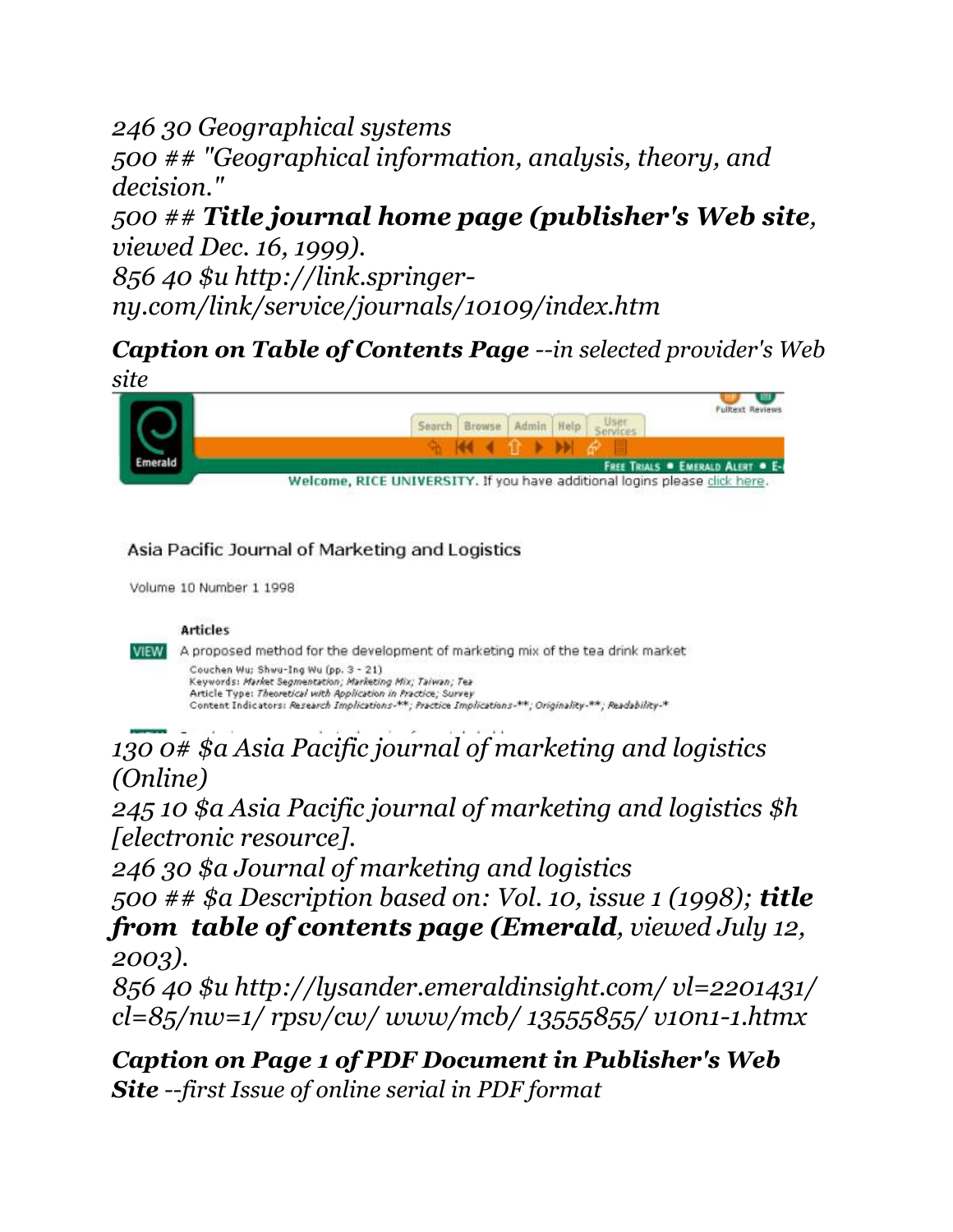### *246 30 Geographical systems 500 ## "Geographical information, analysis, theory, and decision."*

*500 ## Title journal home page (publisher's Web site, viewed Dec. 16, 1999).*

*856 40 \$u http://link.springerny.com/link/service/journals/10109/index.htm*

## *Caption on Table of Contents Page --in selected provider's Web*



#### Asia Pacific Journal of Marketing and Logistics

Volume 10 Number 1 1998

#### Articles

VIEW A proposed method for the development of marketing mix of the tea drink market Couchen Wu; Shwu-Ing Wu (pp. 3 - 21) Keywords: Market Segmentation; Marketing Mix; Taiwan; Tea Article Type: Theoretical with Application in Practice; Survey Content Indicators: Research Implications-\*\*; Practice Implications-\*\*; Originality-\*\*; Readability-\*

## *130 0# \$a Asia Pacific journal of marketing and logistics (Online)*

*245 10 \$a Asia Pacific journal of marketing and logistics \$h [electronic resource].*

*246 30 \$a Journal of marketing and logistics*

*500 ## \$a Description based on: Vol. 10, issue 1 (1998); title from table of contents page (Emerald, viewed July 12, 2003).*

*856 40 \$u http://lysander.emeraldinsight.com/ vl=2201431/ cl=85/nw=1/ rpsv/cw/ www/mcb/ 13555855/ v10n1-1.htmx*

*Caption on Page 1 of PDF Document in Publisher's Web Site --first Issue of online serial in PDF format*